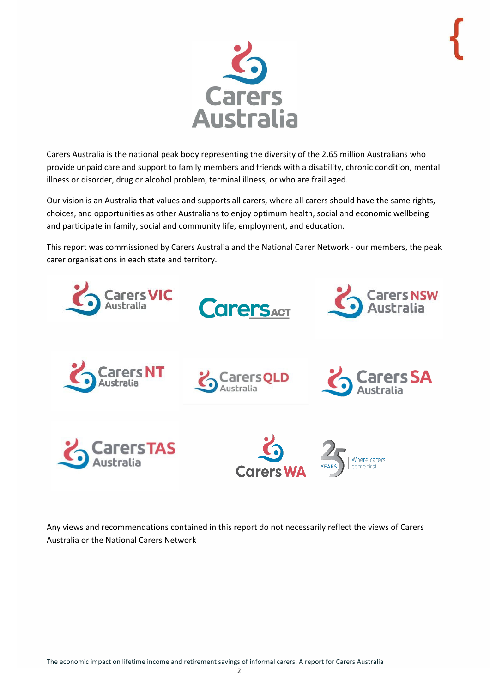

<span id="page-1-0"></span>Carers Australia is the national peak body representing the diversity of the 2.65 million Australians who provide unpaid care and support to family members and friends with a disability, chronic condition, mental illness or disorder, drug or alcohol problem, terminal illness, or who are frail aged.

Our vision is an Australia that values and supports all carers, where all carers should have the same rights, choices, and opportunities as other Australians to enjoy optimum health, social and economic wellbeing and participate in family, social and community life, employment, and education.

This report was commissioned by Carers Australia and the National Carer Network - our members, the peak carer organisations in each state and territory.



Any views and recommendations contained in this report do not necessarily reflect the views of Carers Australia or the National Carers Network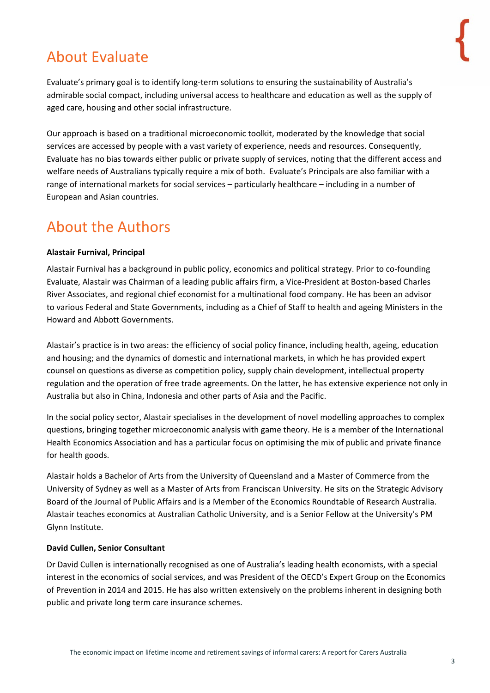# About Evaluate

Evaluate's primary goal is to identify long-term solutions to ensuring the sustainability of Australia's admirable social compact, including universal access to healthcare and education as well as the supply of aged care, housing and other social infrastructure.

Our approach is based on a traditional microeconomic toolkit, moderated by the knowledge that social services are accessed by people with a vast variety of experience, needs and resources. Consequently, Evaluate has no bias towards either public or private supply of services, noting that the different access and welfare needs of Australians typically require a mix of both. Evaluate's Principals are also familiar with a range of international markets for social services – particularly healthcare – including in a number of European and Asian countries.

### <span id="page-2-0"></span>About the Authors

### **Alastair Furnival, Principal**

Alastair Furnival has a background in public policy, economics and political strategy. Prior to co-founding Evaluate, Alastair was Chairman of a leading public affairs firm, a Vice-President at Boston-based Charles River Associates, and regional chief economist for a multinational food company. He has been an advisor to various Federal and State Governments, including as a Chief of Staff to health and ageing Ministers in the Howard and Abbott Governments.

Alastair's practice is in two areas: the efficiency of social policy finance, including health, ageing, education and housing; and the dynamics of domestic and international markets, in which he has provided expert counsel on questions as diverse as competition policy, supply chain development, intellectual property regulation and the operation of free trade agreements. On the latter, he has extensive experience not only in Australia but also in China, Indonesia and other parts of Asia and the Pacific.

In the social policy sector, Alastair specialises in the development of novel modelling approaches to complex questions, bringing together microeconomic analysis with game theory. He is a member of the International Health Economics Association and has a particular focus on optimising the mix of public and private finance for health goods.

Alastair holds a Bachelor of Arts from the University of Queensland and a Master of Commerce from the University of Sydney as well as a Master of Arts from Franciscan University. He sits on the Strategic Advisory Board of the Journal of Public Affairs and is a Member of the Economics Roundtable of Research Australia. Alastair teaches economics at Australian Catholic University, and is a Senior Fellow at the University's PM Glynn Institute.

#### **David Cullen, Senior Consultant**

Dr David Cullen is internationally recognised as one of Australia's leading health economists, with a special interest in the economics of social services, and was President of the OECD's Expert Group on the Economics of Prevention in 2014 and 2015. He has also written extensively on the problems inherent in designing both public and private long term care insurance schemes.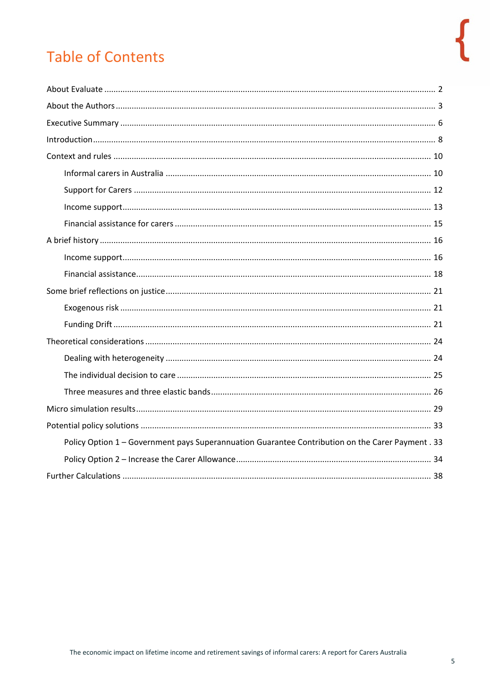# **Table of Contents**

| Policy Option 1 - Government pays Superannuation Guarantee Contribution on the Carer Payment . 33 |
|---------------------------------------------------------------------------------------------------|
|                                                                                                   |
|                                                                                                   |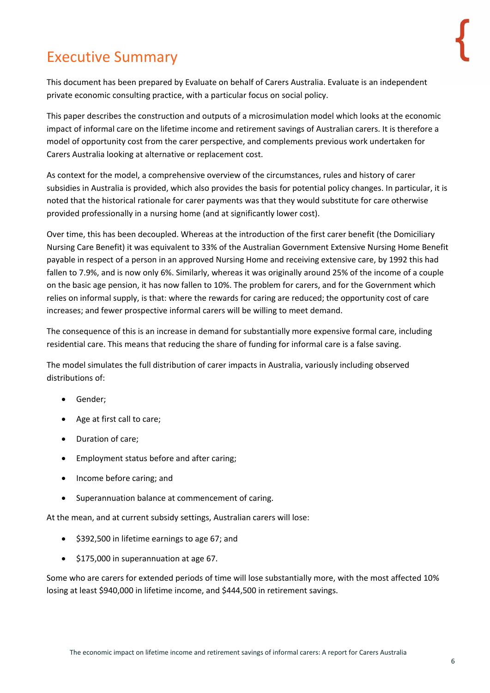# <span id="page-5-0"></span>Executive Summary

This document has been prepared by Evaluate on behalf of Carers Australia. Evaluate is an independent private economic consulting practice, with a particular focus on social policy.

This paper describes the construction and outputs of a microsimulation model which looks at the economic impact of informal care on the lifetime income and retirement savings of Australian carers. It is therefore a model of opportunity cost from the carer perspective, and complements previous work undertaken for Carers Australia looking at alternative or replacement cost.

As context for the model, a comprehensive overview of the circumstances, rules and history of carer subsidies in Australia is provided, which also provides the basis for potential policy changes. In particular, it is noted that the historical rationale for carer payments was that they would substitute for care otherwise provided professionally in a nursing home (and at significantly lower cost).

Over time, this has been decoupled. Whereas at the introduction of the first carer benefit (the Domiciliary Nursing Care Benefit) it was equivalent to 33% of the Australian Government Extensive Nursing Home Benefit payable in respect of a person in an approved Nursing Home and receiving extensive care, by 1992 this had fallen to 7.9%, and is now only 6%. Similarly, whereas it was originally around 25% of the income of a couple on the basic age pension, it has now fallen to 10%. The problem for carers, and for the Government which relies on informal supply, is that: where the rewards for caring are reduced; the opportunity cost of care increases; and fewer prospective informal carers will be willing to meet demand.

The consequence of this is an increase in demand for substantially more expensive formal care, including residential care. This means that reducing the share of funding for informal care is a false saving.

The model simulates the full distribution of carer impacts in Australia, variously including observed distributions of:

- Gender;
- Age at first call to care;
- Duration of care;
- Employment status before and after caring;
- Income before caring; and
- Superannuation balance at commencement of caring.

At the mean, and at current subsidy settings, Australian carers will lose:

- \$392,500 in lifetime earnings to age 67; and
- \$175,000 in superannuation at age 67.

Some who are carers for extended periods of time will lose substantially more, with the most affected 10% losing at least \$940,000 in lifetime income, and \$444,500 in retirement savings.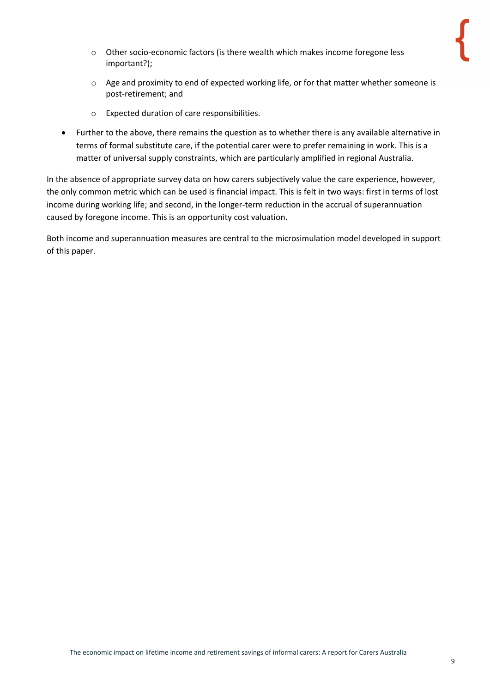- o Other socio-economic factors (is there wealth which makes income foregone less important?);
- $\circ$  Age and proximity to end of expected working life, or for that matter whether someone is post-retirement; and
- o Expected duration of care responsibilities.
- Further to the above, there remains the question as to whether there is any available alternative in terms of formal substitute care, if the potential carer were to prefer remaining in work. This is a matter of universal supply constraints, which are particularly amplified in regional Australia.

In the absence of appropriate survey data on how carers subjectively value the care experience, however, the only common metric which can be used is financial impact. This is felt in two ways: first in terms of lost income during working life; and second, in the longer-term reduction in the accrual of superannuation caused by foregone income. This is an opportunity cost valuation.

Both income and superannuation measures are central to the microsimulation model developed in support of this paper.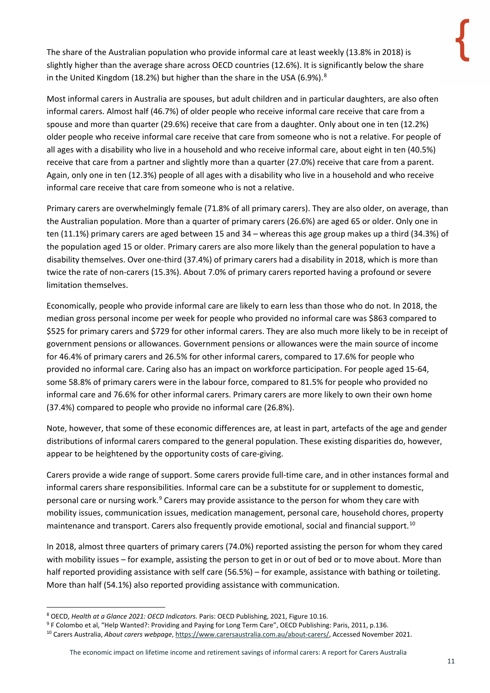The share of the Australian population who provide informal care at least weekly (13.8% in 2018) is slightly higher than the average share across OECD countries (12.6%). It is significantly below the share in the United Kingdom (1[8](#page-10-0).2%) but higher than the share in the USA (6.9%).<sup>8</sup>

Most informal carers in Australia are spouses, but adult children and in particular daughters, are also often informal carers. Almost half (46.7%) of older people who receive informal care receive that care from a spouse and more than quarter (29.6%) receive that care from a daughter. Only about one in ten (12.2%) older people who receive informal care receive that care from someone who is not a relative. For people of all ages with a disability who live in a household and who receive informal care, about eight in ten (40.5%) receive that care from a partner and slightly more than a quarter (27.0%) receive that care from a parent. Again, only one in ten (12.3%) people of all ages with a disability who live in a household and who receive informal care receive that care from someone who is not a relative.

Primary carers are overwhelmingly female (71.8% of all primary carers). They are also older, on average, than the Australian population. More than a quarter of primary carers (26.6%) are aged 65 or older. Only one in ten (11.1%) primary carers are aged between 15 and 34 – whereas this age group makes up a third (34.3%) of the population aged 15 or older. Primary carers are also more likely than the general population to have a disability themselves. Over one-third (37.4%) of primary carers had a disability in 2018, which is more than twice the rate of non-carers (15.3%). About 7.0% of primary carers reported having a profound or severe limitation themselves.

Economically, people who provide informal care are likely to earn less than those who do not. In 2018, the median gross personal income per week for people who provided no informal care was \$863 compared to \$525 for primary carers and \$729 for other informal carers. They are also much more likely to be in receipt of government pensions or allowances. Government pensions or allowances were the main source of income for 46.4% of primary carers and 26.5% for other informal carers, compared to 17.6% for people who provided no informal care. Caring also has an impact on workforce participation. For people aged 15-64, some 58.8% of primary carers were in the labour force, compared to 81.5% for people who provided no informal care and 76.6% for other informal carers. Primary carers are more likely to own their own home (37.4%) compared to people who provide no informal care (26.8%).

Note, however, that some of these economic differences are, at least in part, artefacts of the age and gender distributions of informal carers compared to the general population. These existing disparities do, however, appear to be heightened by the opportunity costs of care-giving.

Carers provide a wide range of support. Some carers provide full-time care, and in other instances formal and informal carers share responsibilities. Informal care can be a substitute for or supplement to domestic, personal care or nursing work.<sup>[9](#page-10-1)</sup> Carers may provide assistance to the person for whom they care with mobility issues, communication issues, medication management, personal care, household chores, property maintenance and transport. Carers also frequently provide emotional, social and financial support.<sup>[10](#page-10-2)</sup>

In 2018, almost three quarters of primary carers (74.0%) reported assisting the person for whom they cared with mobility issues – for example, assisting the person to get in or out of bed or to move about. More than half reported providing assistance with self care (56.5%) – for example, assistance with bathing or toileting. More than half (54.1%) also reported providing assistance with communication.

<span id="page-10-0"></span><sup>8</sup> OECD, *Health at a Glance 2021: OECD Indicators.* Paris: OECD Publishing, 2021, Figure 10.16.

<span id="page-10-1"></span><sup>9</sup> F Colombo et al, "Help Wanted?: Providing and Paying for Long Term Care", OECD Publishing: Paris, 2011, p.136.

<span id="page-10-2"></span><sup>10</sup> Carers Australia, *About carers webpage*[, https://www.carersaustralia.com.au/about-carers/,](https://www.carersaustralia.com.au/about-carers/) Accessed November 2021.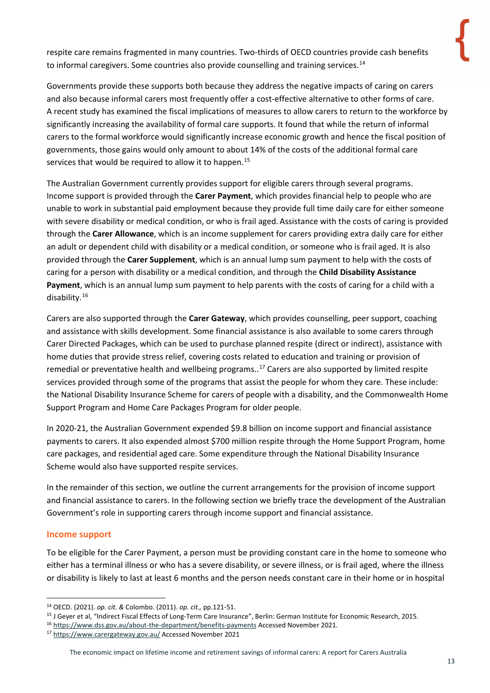The share of the Australian population who provide informal care at least weekly 13.8 in 2018 is slightly higher than the average share acros OECD countries 12.6. It is significantly below the share in the United ingdom 18.2 but higher than the share in the USA 6.9.

Most informal carers in Australia are spouses, but adult children and in particular daughters, are also often informal carers. Almost half 46.7 of older people who receive informal care receive that care from a spouse and more than uarter 29.6 receive that care from a daughter. Only about one in ten 12.2 older people who receive informal care receive that cae from someone who is not a relative. For peopleof all ages with a disability who live in a household and who receive informal care, about eight in ten 40.5 receive that care from a partner and slightly more than a uarter 27.0 receive that care fro m a parent. Again, only one in ten 12.3 people of all ages with a disability who live in a household and whoreceive informal care receive that care from someone who is not a relative.

Primary carers are overwhelmingly female 71.8 of all primary carers. They are also older, on average, than the Australian population. More than a uarter of primary carers 26.6 are aged 65 or older. Only one in ten 11.1 primary carers are aged between 15 and  $34 -$  whereas this age group makes up a third 34.3 of the population aged 15 or older. Primary carers are also more likely than the general population to have a disability themselves. Over one-third 37.4 of primary carers had a disability in 2018, which is more than twice the rate of non-carers 15.3. Ab out 7.0 of primary carers reported having a profound or severe limitation themselves.

Economically, people who provide informal care are likely to earn less than those who do not. In 2018, the median gross personal income per week for people who provided no informal care was \$863 compared to \$525 for primary carers and \$729 for other informal carers. They are also much more likely to be in receipt of government pensions or allowances. Government pensions or allowances were the main source of income for 46.4 of primary carers and 26.5 for other informal carers, compared to 17.6 for people who provided no informal care. Caring also has an impact on workforce participation. For people aged 164, some 58.8 of primary carers were in the labour force, compared to 81.5 for people who provided no informal care and 76.6 for other informal carers. Primary carers are more likely to own their own home 37.4 compared to people who provide no informal care 26.8.

Note, however, that some of these economic differences are, at least in part, artefacts of the age and gender distributions of informa carers compared to the general population. These existing disparities do, however, appear to be heightened by the opportunity costs of care-giving.

Carers provide a wide range of support. Some carers provide fultime care, and in other instances formal and informal carers share responsibilities. Informal care can be a substitute for or supplement to domestic, personal care or nursing work? Carers may provide assistance to the person for whom they care with mobility issues, communication issues, medicaion management, personal care, household chores, property maintenance and transport. Carers also freuently provide emotional, social and financial support.<sup>10</sup>

In 2018, almost three uarters of primary carers 74.0 reported assisting the person for who m they cared with mobility issues -for example, assisting the person to get in or out of bed or to move about More than half reported providing assistance with self care 56.5 - for example, assistance with bathing or toileting. More than half 54.1 als o reported providing assistance with communication.

<sup>&</sup>lt;sup>8</sup> OECD, Health at a Glance 2021: OECD Indicators. Paris: OECD Publishing, 2021, Figure 10.16.

<sup>&</sup>lt;sup>9</sup> F Colombo et al, elp anted: Providing and Paying for Long Term Care, OECD Publishing: Paris, 2011,p.136.

<sup>&</sup>lt;sup>10</sup> Carers Australia, About carers webpage, https:www.carersaustralia.com.auabout -carers , Accessed November 2021.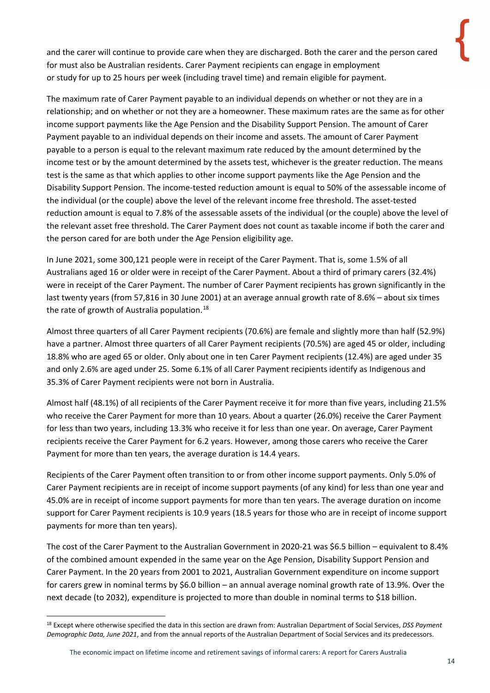and the carer will continue to provide care when they are discharged. Both the carer and the person cared for must also be Australian residents. Carer Payment recipients can engage in employment or study for up to 25 hours per week (including travel time) and remain eligible for payment.

The maximum rate of Carer Payment payable to an individual depends on whether or not they are in a relationship; and on whether or not they are a homeowner. These maximum rates are the same as for other income support payments like the Age Pension and the Disability Support Pension. The amount of Carer Payment payable to an individual depends on their income and assets. The amount of Carer Payment payable to a person is equal to the relevant maximum rate reduced by the amount determined by the income test or by the amount determined by the assets test, whichever is the greater reduction. The means test is the same as that which applies to other income support payments like the Age Pension and the Disability Support Pension. The income-tested reduction amount is equal to 50% of the assessable income of the individual (or the couple) above the level of the relevant income free threshold. The asset-tested reduction amount is equal to 7.8% of the assessable assets of the individual (or the couple) above the level of the relevant asset free threshold. The Carer Payment does not count as taxable income if both the carer and the person cared for are both under the Age Pension eligibility age.

In June 2021, some 300,121 people were in receipt of the Carer Payment. That is, some 1.5% of all Australians aged 16 or older were in receipt of the Carer Payment. About a third of primary carers (32.4%) were in receipt of the Carer Payment. The number of Carer Payment recipients has grown significantly in the last twenty years (from 57,816 in 30 June 2001) at an average annual growth rate of 8.6% – about six times the rate of growth of Australia population.<sup>[18](#page-13-0)</sup>

Almost three quarters of all Carer Payment recipients (70.6%) are female and slightly more than half (52.9%) have a partner. Almost three quarters of all Carer Payment recipients (70.5%) are aged 45 or older, including 18.8% who are aged 65 or older. Only about one in ten Carer Payment recipients (12.4%) are aged under 35 and only 2.6% are aged under 25. Some 6.1% of all Carer Payment recipients identify as Indigenous and 35.3% of Carer Payment recipients were not born in Australia.

Almost half (48.1%) of all recipients of the Carer Payment receive it for more than five years, including 21.5% who receive the Carer Payment for more than 10 years. About a quarter (26.0%) receive the Carer Payment for less than two years, including 13.3% who receive it for less than one year. On average, Carer Payment recipients receive the Carer Payment for 6.2 years. However, among those carers who receive the Carer Payment for more than ten years, the average duration is 14.4 years.

Recipients of the Carer Payment often transition to or from other income support payments. Only 5.0% of Carer Payment recipients are in receipt of income support payments (of any kind) for less than one year and 45.0% are in receipt of income support payments for more than ten years. The average duration on income support for Carer Payment recipients is 10.9 years (18.5 years for those who are in receipt of income support payments for more than ten years).

The cost of the Carer Payment to the Australian Government in 2020-21 was \$6.5 billion – equivalent to 8.4% of the combined amount expended in the same year on the Age Pension, Disability Support Pension and Carer Payment. In the 20 years from 2001 to 2021, Australian Government expenditure on income support for carers grew in nominal terms by \$6.0 billion – an annual average nominal growth rate of 13.9%. Over the next decade (to 2032), expenditure is projected to more than double in nominal terms to \$18 billion.

<span id="page-13-0"></span><sup>18</sup> Except where otherwise specified the data in this section are drawn from: Australian Department of Social Services, *DSS Payment Demographic Data, June 2021*, and from the annual reports of the Australian Department of Social Services and its predecessors.

The economic impact on lifetime income and retirement savings of informal carers: A report for Carers Australia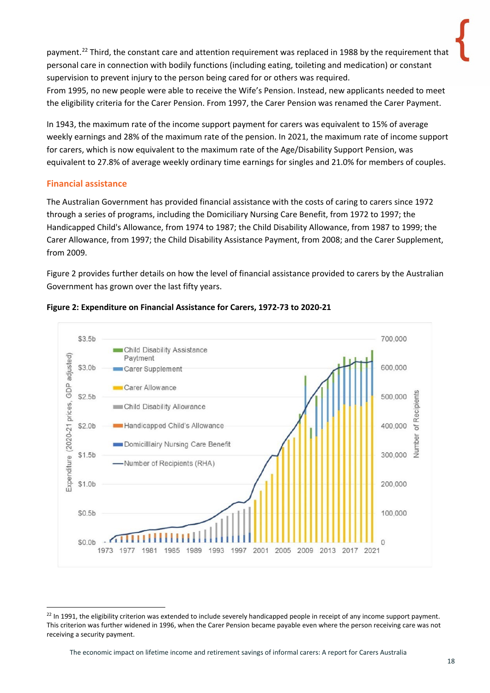payment.<sup>[22](#page-17-1)</sup> Third, the constant care and attention requirement was replaced in 1988 by the requirement that personal care in connection with bodily functions (including eating, toileting and medication) or constant supervision to prevent injury to the person being cared for or others was required.

From 1995, no new people were able to receive the Wife's Pension. Instead, new applicants needed to meet the eligibility criteria for the Carer Pension. From 1997, the Carer Pension was renamed the Carer Payment.

In 1943, the maximum rate of the income support payment for carers was equivalent to 15% of average weekly earnings and 28% of the maximum rate of the pension. In 2021, the maximum rate of income support for carers, which is now equivalent to the maximum rate of the Age/Disability Support Pension, was equivalent to 27.8% of average weekly ordinary time earnings for singles and 21.0% for members of couples.

#### <span id="page-17-0"></span>**Financial assistance**

The Australian Government has provided financial assistance with the costs of caring to carers since 1972 through a series of programs, including the Domiciliary Nursing Care Benefit, from 1972 to 1997; the Handicapped Child's Allowance, from 1974 to 1987; the Child Disability Allowance, from 1987 to 1999; the Carer Allowance, from 1997; the Child Disability Assistance Payment, from 2008; and the Carer Supplement, from 2009.

Figure 2 provides further details on how the level of financial assistance provided to carers by the Australian Government has grown over the last fifty years.



#### **Figure 2: Expenditure on Financial Assistance for Carers, 1972-73 to 2020-21**

<span id="page-17-1"></span><sup>&</sup>lt;sup>22</sup> In 1991, the eligibility criterion was extended to include severely handicapped people in receipt of any income support payment. This criterion was further widened in 1996, when the Carer Pension became payable even where the person receiving care was not receiving a security payment.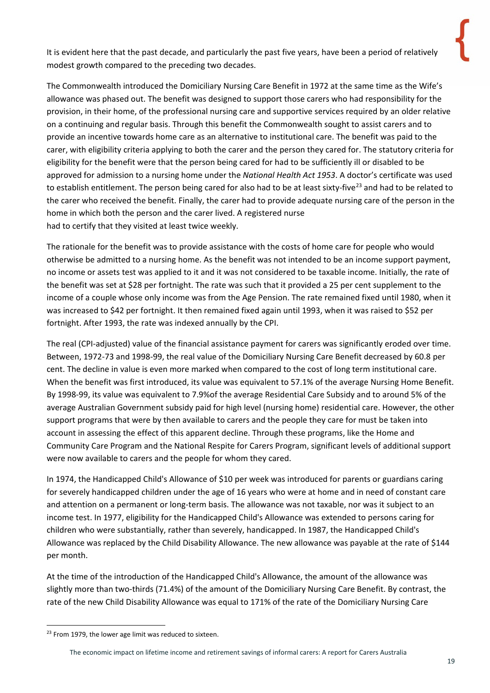It is evident here that the past decade, and particularly the past five years, have been a period of relatively modest growth compared to the preceding two decades.

The Commonwealth introduced the Domiciliary Nursing Care Benefit in 1972 at the same time as the Wife's allowance was phased out. The benefit was designed to support those carers who had responsibility for the provision, in their home, of the professional nursing care and supportive services required by an older relative on a continuing and regular basis. Through this benefit the Commonwealth sought to assist carers and to provide an incentive towards home care as an alternative to institutional care. The benefit was paid to the carer, with eligibility criteria applying to both the carer and the person they cared for. The statutory criteria for eligibility for the benefit were that the person being cared for had to be sufficiently ill or disabled to be approved for admission to a nursing home under the *National Health Act 1953*. A doctor's certificate was used to establish entitlement. The person being cared for also had to be at least sixty-five<sup>[23](#page-18-0)</sup> and had to be related to the carer who received the benefit. Finally, the carer had to provide adequate nursing care of the person in the home in which both the person and the carer lived. A registered nurse had to certify that they visited at least twice weekly.

The rationale for the benefit was to provide assistance with the costs of home care for people who would otherwise be admitted to a nursing home. As the benefit was not intended to be an income support payment, no income or assets test was applied to it and it was not considered to be taxable income. Initially, the rate of the benefit was set at \$28 per fortnight. The rate was such that it provided a 25 per cent supplement to the income of a couple whose only income was from the Age Pension. The rate remained fixed until 1980, when it was increased to \$42 per fortnight. It then remained fixed again until 1993, when it was raised to \$52 per fortnight. After 1993, the rate was indexed annually by the CPI.

The real (CPI-adjusted) value of the financial assistance payment for carers was significantly eroded over time. Between, 1972-73 and 1998-99, the real value of the Domiciliary Nursing Care Benefit decreased by 60.8 per cent. The decline in value is even more marked when compared to the cost of long term institutional care. When the benefit was first introduced, its value was equivalent to 57.1% of the average Nursing Home Benefit. By 1998-99, its value was equivalent to 7.9%of the average Residential Care Subsidy and to around 5% of the average Australian Government subsidy paid for high level (nursing home) residential care. However, the other support programs that were by then available to carers and the people they care for must be taken into account in assessing the effect of this apparent decline. Through these programs, like the Home and Community Care Program and the National Respite for Carers Program, significant levels of additional support were now available to carers and the people for whom they cared.

In 1974, the Handicapped Child's Allowance of \$10 per week was introduced for parents or guardians caring for severely handicapped children under the age of 16 years who were at home and in need of constant care and attention on a permanent or long-term basis. The allowance was not taxable, nor was it subject to an income test. In 1977, eligibility for the Handicapped Child's Allowance was extended to persons caring for children who were substantially, rather than severely, handicapped. In 1987, the Handicapped Child's Allowance was replaced by the Child Disability Allowance. The new allowance was payable at the rate of \$144 per month.

At the time of the introduction of the Handicapped Child's Allowance, the amount of the allowance was slightly more than two-thirds (71.4%) of the amount of the Domiciliary Nursing Care Benefit. By contrast, the rate of the new Child Disability Allowance was equal to 171% of the rate of the Domiciliary Nursing Care

<span id="page-18-0"></span><sup>&</sup>lt;sup>23</sup> From 1979, the lower age limit was reduced to sixteen.

The economic impact on lifetime income and retirement savings of informal carers: A report for Carers Australia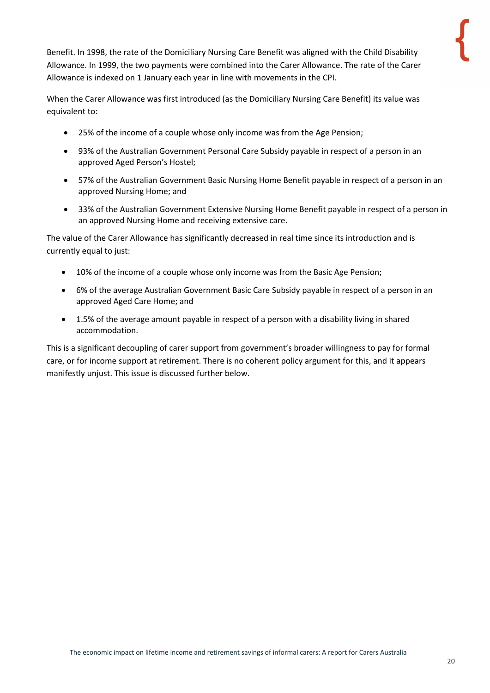Benefit. In 1998, the rate of the Domiciliary Nursing Care Benefit was aligned with the Child Disability Allowance. In 1999, the two payments were combined into the Carer Allowance. The rate of the Carer Allowance is indexed on 1 January each year in line with movements in the CPI.

When the Carer Allowance was first introduced (as the Domiciliary Nursing Care Benefit) its value was equivalent to:

- 25% of the income of a couple whose only income was from the Age Pension;
- 93% of the Australian Government Personal Care Subsidy payable in respect of a person in an approved Aged Person's Hostel;
- 57% of the Australian Government Basic Nursing Home Benefit payable in respect of a person in an approved Nursing Home; and
- 33% of the Australian Government Extensive Nursing Home Benefit payable in respect of a person in an approved Nursing Home and receiving extensive care.

The value of the Carer Allowance has significantly decreased in real time since its introduction and is currently equal to just:

- 10% of the income of a couple whose only income was from the Basic Age Pension;
- 6% of the average Australian Government Basic Care Subsidy payable in respect of a person in an approved Aged Care Home; and
- 1.5% of the average amount payable in respect of a person with a disability living in shared accommodation.

This is a significant decoupling of carer support from government's broader willingness to pay for formal care, or for income support at retirement. There is no coherent policy argument for this, and it appears manifestly unjust. This issue is discussed further below.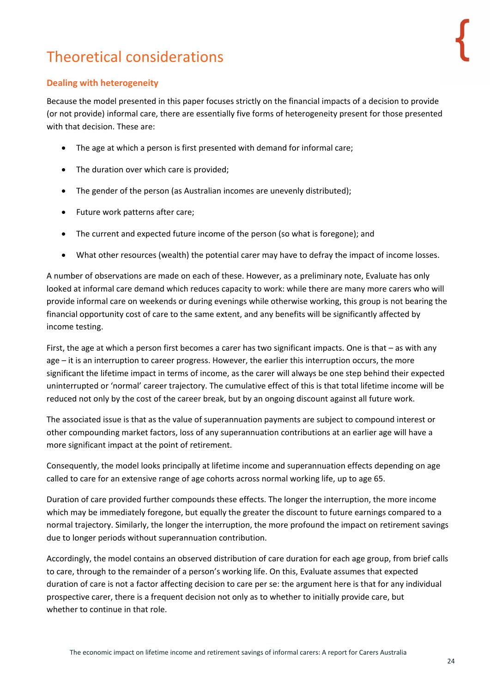# <span id="page-23-0"></span>Theoretical considerations

### <span id="page-23-1"></span>**Dealing with heterogeneity**

Because the model presented in this paper focuses strictly on the financial impacts of a decision to provide (or not provide) informal care, there are essentially five forms of heterogeneity present for those presented with that decision. These are:

- The age at which a person is first presented with demand for informal care;
- The duration over which care is provided:
- The gender of the person (as Australian incomes are unevenly distributed);
- Future work patterns after care;
- The current and expected future income of the person (so what is foregone); and
- What other resources (wealth) the potential carer may have to defray the impact of income losses.

A number of observations are made on each of these. However, as a preliminary note, Evaluate has only looked at informal care demand which reduces capacity to work: while there are many more carers who will provide informal care on weekends or during evenings while otherwise working, this group is not bearing the financial opportunity cost of care to the same extent, and any benefits will be significantly affected by income testing.

First, the age at which a person first becomes a carer has two significant impacts. One is that – as with any age – it is an interruption to career progress. However, the earlier this interruption occurs, the more significant the lifetime impact in terms of income, as the carer will always be one step behind their expected uninterrupted or 'normal' career trajectory. The cumulative effect of this is that total lifetime income will be reduced not only by the cost of the career break, but by an ongoing discount against all future work.

The associated issue is that as the value of superannuation payments are subject to compound interest or other compounding market factors, loss of any superannuation contributions at an earlier age will have a more significant impact at the point of retirement.

Consequently, the model looks principally at lifetime income and superannuation effects depending on age called to care for an extensive range of age cohorts across normal working life, up to age 65.

Duration of care provided further compounds these effects. The longer the interruption, the more income which may be immediately foregone, but equally the greater the discount to future earnings compared to a normal trajectory. Similarly, the longer the interruption, the more profound the impact on retirement savings due to longer periods without superannuation contribution.

Accordingly, the model contains an observed distribution of care duration for each age group, from brief calls to care, through to the remainder of a person's working life. On this, Evaluate assumes that expected duration of care is not a factor affecting decision to care per se: the argument here is that for any individual prospective carer, there is a frequent decision not only as to whether to initially provide care, but whether to continue in that role.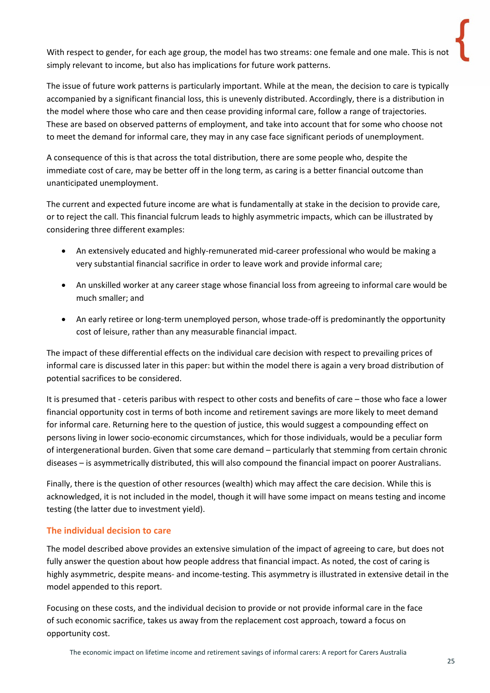With respect to gender, for each age group, the model has two streams: one female and one male. This is not simply relevant to income, but also has implications for future work patterns.

The issue of future work patterns is particularly important. While at the mean, the decision to care is typically accompanied by a significant financial loss, this is unevenly distributed. Accordingly, there is a distribution in the model where those who care and then cease providing informal care, follow a range of trajectories. These are based on observed patterns of employment, and take into account that for some who choose not to meet the demand for informal care, they may in any case face significant periods of unemployment.

A consequence of this is that across the total distribution, there are some people who, despite the immediate cost of care, may be better off in the long term, as caring is a better financial outcome than unanticipated unemployment.

The current and expected future income are what is fundamentally at stake in the decision to provide care, or to reject the call. This financial fulcrum leads to highly asymmetric impacts, which can be illustrated by considering three different examples:

- An extensively educated and highly-remunerated mid-career professional who would be making a very substantial financial sacrifice in order to leave work and provide informal care;
- An unskilled worker at any career stage whose financial loss from agreeing to informal care would be much smaller; and
- An early retiree or long-term unemployed person, whose trade-off is predominantly the opportunity cost of leisure, rather than any measurable financial impact.

The impact of these differential effects on the individual care decision with respect to prevailing prices of informal care is discussed later in this paper: but within the model there is again a very broad distribution of potential sacrifices to be considered.

It is presumed that - ceteris paribus with respect to other costs and benefits of care – those who face a lower financial opportunity cost in terms of both income and retirement savings are more likely to meet demand for informal care. Returning here to the question of justice, this would suggest a compounding effect on persons living in lower socio-economic circumstances, which for those individuals, would be a peculiar form of intergenerational burden. Given that some care demand – particularly that stemming from certain chronic diseases – is asymmetrically distributed, this will also compound the financial impact on poorer Australians.

Finally, there is the question of other resources (wealth) which may affect the care decision. While this is acknowledged, it is not included in the model, though it will have some impact on means testing and income testing (the latter due to investment yield).

#### <span id="page-24-0"></span>**The individual decision to care**

The model described above provides an extensive simulation of the impact of agreeing to care, but does not fully answer the question about how people address that financial impact. As noted, the cost of caring is highly asymmetric, despite means- and income-testing. This asymmetry is illustrated in extensive detail in the model appended to this report.

Focusing on these costs, and the individual decision to provide or not provide informal care in the face of such economic sacrifice, takes us away from the replacement cost approach, toward a focus on opportunity cost.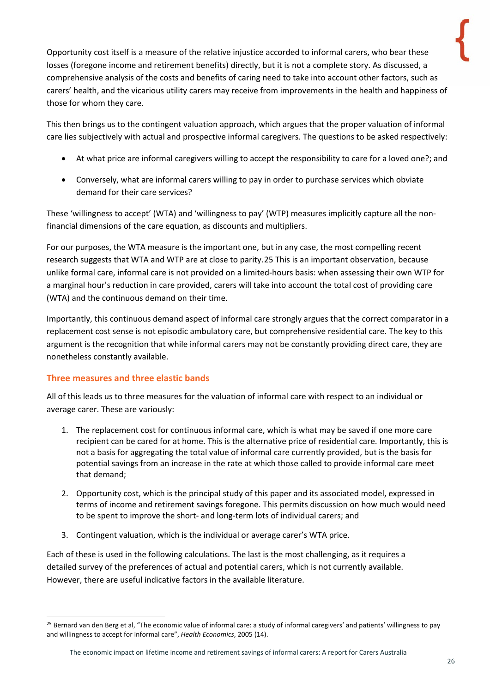Opportunity cost itself is a measure of the relative injustice accorded to informal carers, who bear these losses (foregone income and retirement benefits) directly, but it is not a complete story. As discussed, a comprehensive analysis of the costs and benefits of caring need to take into account other factors, such as carers' health, and the vicarious utility carers may receive from improvements in the health and happiness of those for whom they care.

This then brings us to the contingent valuation approach, which argues that the proper valuation of informal care lies subjectively with actual and prospective informal caregivers. The questions to be asked respectively:

- At what price are informal caregivers willing to accept the responsibility to care for a loved one?; and
- Conversely, what are informal carers willing to pay in order to purchase services which obviate demand for their care services?

These 'willingness to accept' (WTA) and 'willingness to pay' (WTP) measures implicitly capture all the nonfinancial dimensions of the care equation, as discounts and multipliers.

For our purposes, the WTA measure is the important one, but in any case, the most compelling recent research suggests that WTA and WTP are at close to parity.[25](#page-25-1) This is an important observation, because unlike formal care, informal care is not provided on a limited-hours basis: when assessing their own WTP for a marginal hour's reduction in care provided, carers will take into account the total cost of providing care (WTA) and the continuous demand on their time.

Importantly, this continuous demand aspect of informal care strongly argues that the correct comparator in a replacement cost sense is not episodic ambulatory care, but comprehensive residential care. The key to this argument is the recognition that while informal carers may not be constantly providing direct care, they are nonetheless constantly available.

### <span id="page-25-0"></span>**Three measures and three elastic bands**

All of this leads us to three measures for the valuation of informal care with respect to an individual or average carer. These are variously:

- 1. The replacement cost for continuous informal care, which is what may be saved if one more care recipient can be cared for at home. This is the alternative price of residential care. Importantly, this is not a basis for aggregating the total value of informal care currently provided, but is the basis for potential savings from an increase in the rate at which those called to provide informal care meet that demand;
- 2. Opportunity cost, which is the principal study of this paper and its associated model, expressed in terms of income and retirement savings foregone. This permits discussion on how much would need to be spent to improve the short- and long-term lots of individual carers; and
- 3. Contingent valuation, which is the individual or average carer's WTA price.

Each of these is used in the following calculations. The last is the most challenging, as it requires a detailed survey of the preferences of actual and potential carers, which is not currently available. However, there are useful indicative factors in the available literature.

<span id="page-25-1"></span><sup>&</sup>lt;sup>25</sup> Bernard van den Berg et al, "The economic value of informal care: a study of informal caregivers' and patients' willingness to pay and willingness to accept for informal care", *Health Economics*, 2005 (14).

The economic impact on lifetime income and retirement savings of informal carers: A report for Carers Australia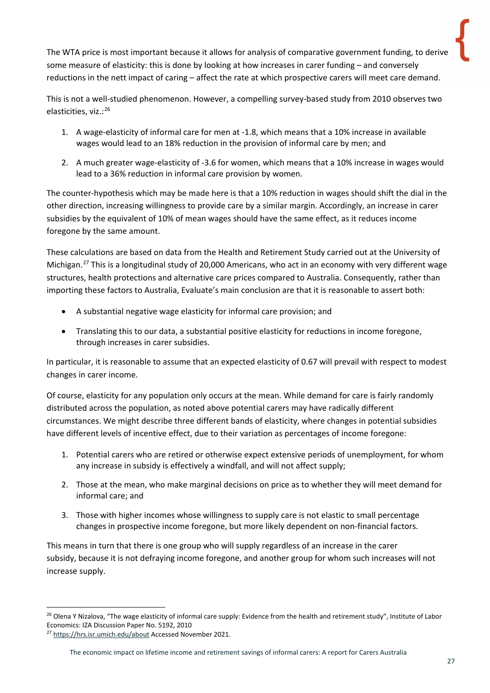The WTA price is most important because it allows for analysis of comparative government funding, to derive some measure of elasticity: this is done by looking at how increases in carer funding – and conversely reductions in the nett impact of caring – affect the rate at which prospective carers will meet care demand.

This is not a well-studied phenomenon. However, a compelling survey-based study from 2010 observes two elasticities, viz.:<sup>[26](#page-26-0)</sup>

- 1. A wage-elasticity of informal care for men at -1.8, which means that a 10% increase in available wages would lead to an 18% reduction in the provision of informal care by men; and
- 2. A much greater wage-elasticity of -3.6 for women, which means that a 10% increase in wages would lead to a 36% reduction in informal care provision by women.

The counter-hypothesis which may be made here is that a 10% reduction in wages should shift the dial in the other direction, increasing willingness to provide care by a similar margin. Accordingly, an increase in carer subsidies by the equivalent of 10% of mean wages should have the same effect, as it reduces income foregone by the same amount.

These calculations are based on data from the Health and Retirement Study carried out at the University of Michigan.<sup>[27](#page-26-1)</sup> This is a longitudinal study of 20,000 Americans, who act in an economy with very different wage structures, health protections and alternative care prices compared to Australia. Consequently, rather than importing these factors to Australia, Evaluate's main conclusion are that it is reasonable to assert both:

- A substantial negative wage elasticity for informal care provision; and
- Translating this to our data, a substantial positive elasticity for reductions in income foregone, through increases in carer subsidies.

In particular, it is reasonable to assume that an expected elasticity of 0.67 will prevail with respect to modest changes in carer income.

Of course, elasticity for any population only occurs at the mean. While demand for care is fairly randomly distributed across the population, as noted above potential carers may have radically different circumstances. We might describe three different bands of elasticity, where changes in potential subsidies have different levels of incentive effect, due to their variation as percentages of income foregone:

- 1. Potential carers who are retired or otherwise expect extensive periods of unemployment, for whom any increase in subsidy is effectively a windfall, and will not affect supply;
- 2. Those at the mean, who make marginal decisions on price as to whether they will meet demand for informal care; and
- 3. Those with higher incomes whose willingness to supply care is not elastic to small percentage changes in prospective income foregone, but more likely dependent on non-financial factors.

This means in turn that there is one group who will supply regardless of an increase in the carer subsidy, because it is not defraying income foregone, and another group for whom such increases will not increase supply.

<span id="page-26-0"></span><sup>&</sup>lt;sup>26</sup> Olena Y Nizalova, "The wage elasticity of informal care supply: Evidence from the health and retirement study", Institute of Labor Economics: IZA Discussion Paper No. 5192, 2010

<span id="page-26-1"></span><sup>&</sup>lt;sup>27</sup> <https://hrs.isr.umich.edu/about> Accessed November 2021.

The economic impact on lifetime income and retirement savings of informal carers: A report for Carers Australia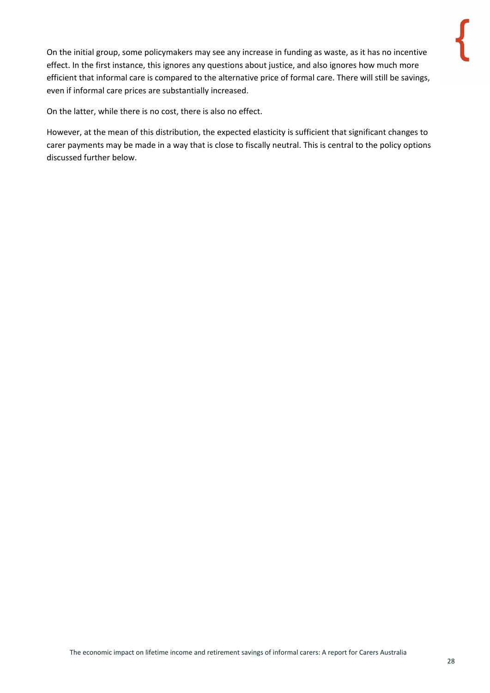On the initial group, some policymakers may see any increase in funding as waste, as it has no incentive effect. In the first instance, this ignores any questions about justice, and also ignores how much more efficient that informal care is compared to the alternative price of formal care. There will still be savings, even if informal care prices are substantially increased.

On the latter, while there is no cost, there is also no effect.

However, at the mean of this distribution, the expected elasticity is sufficient that significant changes to carer payments may be made in a way that is close to fiscally neutral. This is central to the policy options discussed further below.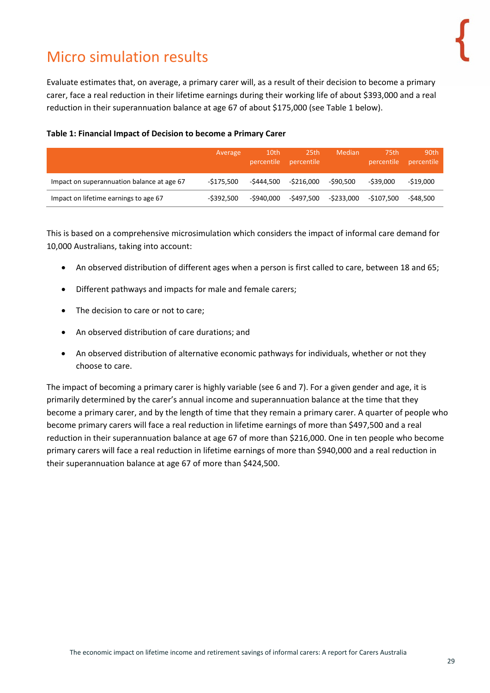# <span id="page-28-0"></span>Micro simulation results

Evaluate estimates that, on average, a primary carer will, as a result of their decision to become a primary carer, face a real reduction in their lifetime earnings during their working life of about \$393,000 and a real reduction in their superannuation balance at age 67 of about \$175,000 (see [Table 1](#page-28-1) below).

|                                            | Average       | 10th       | 25th<br>percentile percentile | Median     | 75th<br>percentile | 90th<br>percentile |
|--------------------------------------------|---------------|------------|-------------------------------|------------|--------------------|--------------------|
| Impact on superannuation balance at age 67 | -\$175.500    | -\$444.500 | -\$216.000                    | -\$90.500  | -\$39.000          | $-519.000$         |
| Impact on lifetime earnings to age 67      | $-$ \$392.500 | -\$940.000 | -\$497.500                    | -\$233,000 | -\$107.500         | -\$48.500          |

#### <span id="page-28-1"></span>**Table 1: Financial Impact of Decision to become a Primary Carer**

This is based on a comprehensive microsimulation which considers the impact of informal care demand for 10,000 Australians, taking into account:

- An observed distribution of different ages when a person is first called to care, between 18 and 65;
- Different pathways and impacts for male and female carers;
- The decision to care or not to care;
- An observed distribution of care durations; and
- An observed distribution of alternative economic pathways for individuals, whether or not they choose to care.

The impact of becoming a primary carer is highly variable (see 6 and 7). For a given gender and age, it is primarily determined by the carer's annual income and superannuation balance at the time that they become a primary carer, and by the length of time that they remain a primary carer. A quarter of people who become primary carers will face a real reduction in lifetime earnings of more than \$497,500 and a real reduction in their superannuation balance at age 67 of more than \$216,000. One in ten people who become primary carers will face a real reduction in lifetime earnings of more than \$940,000 and a real reduction in their superannuation balance at age 67 of more than \$424,500.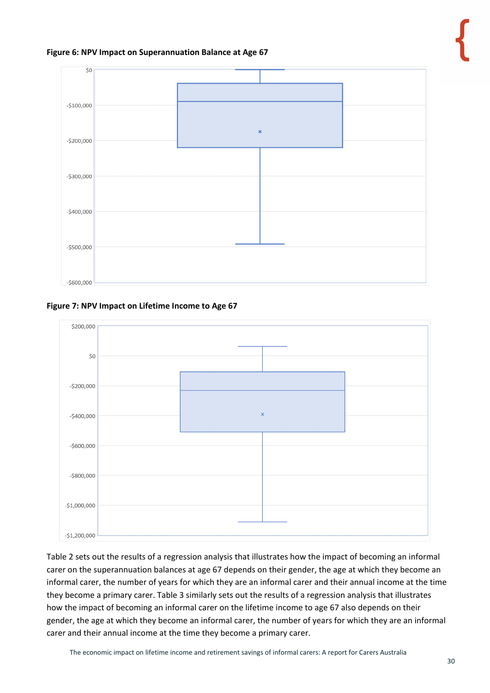#### **Figure 6: NPV Impact on Superannuation Balance at Age 67**



#### **Figure 7: NPV Impact on Lifetime Income to Age 67**



Table 2 sets out the results of a regression analysis that illustrates how the impact of becoming an informal carer on the superannuation balances at age 67 depends on their gender, the age at which they become an informal carer, the number of years for which they are an informal carer and their annual income at the time they become a primary carer. Table 3 similarly sets out the results of a regression analysis that illustrates how the impact of becoming an informal carer on the lifetime income to age 67 also depends on their gender, the age at which they become an informal carer, the number of years for which they are an informal carer and their annual income at the time they become a primary carer.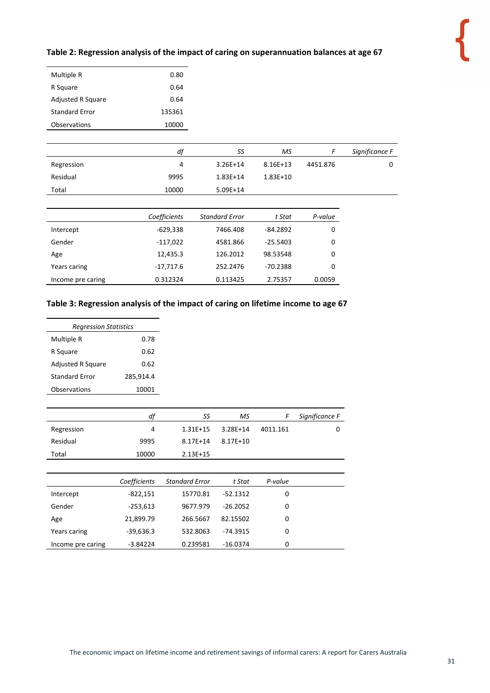#### **Table 2: Regression analysis of the impact of caring on superannuation balances at age 67**

| Multiple R               | 0.80   |
|--------------------------|--------|
| R Square                 | 0.64   |
| <b>Adjusted R Square</b> | 0.64   |
| <b>Standard Frror</b>    | 135361 |
| Observations             | 10000  |

|            | df           | SS                    | МS           | F        | Significance F |
|------------|--------------|-----------------------|--------------|----------|----------------|
| Regression | 4            | $3.26E+14$            | $8.16E + 13$ | 4451.876 | 0              |
| Residual   | 9995         | $1.83E+14$            | $1.83E+10$   |          |                |
| Total      | 10000        | $5.09E+14$            |              |          |                |
|            |              |                       |              |          |                |
|            | Coefficients | <b>Standard Error</b> | t Stat       | P-value  |                |
| Intercept  | $-629,338$   | 7466.408              | $-84.2892$   | 0        |                |
| Gender     | -117,022     | 4581.866              | $-25.5403$   | 0        |                |
| Age        | 12,435.3     | 126.2012              | 98.53548     | 0        |                |

| ∽יהי              | -------   | -------  | -------    |        |
|-------------------|-----------|----------|------------|--------|
| Years caring      | -17.717.6 | 252.2476 | $-70.2388$ |        |
| Income pre caring | 0.312324  | 0.113425 | 2.75357    | 0.0059 |
|                   |           |          |            |        |

#### **Table 3: Regression analysis of the impact of caring on lifetime income to age 67**

| <b>Regression Statistics</b> |           |  |  |  |  |
|------------------------------|-----------|--|--|--|--|
| Multiple R                   | 0.78      |  |  |  |  |
| R Square                     | 0.62      |  |  |  |  |
| <b>Adjusted R Square</b>     | 0.62      |  |  |  |  |
| <b>Standard Frror</b>        | 285,914.4 |  |  |  |  |
| Observations                 | 10001     |  |  |  |  |

|            | df    | SS           | МS           |          | Significance F |
|------------|-------|--------------|--------------|----------|----------------|
| Regression | 4     | $1.31E+15$   | $3.28E + 14$ | 4011.161 |                |
| Residual   | 9995  | $8.17E + 14$ | 8.17E+10     |          |                |
| Total      | 10000 | $2.13E+15$   |              |          |                |

|                   | Coefficients | <b>Standard Error</b> | t Stat     | P-value |  |
|-------------------|--------------|-----------------------|------------|---------|--|
| Intercept         | $-822,151$   | 15770.81              | $-52.1312$ | 0       |  |
| Gender            | $-253,613$   | 9677.979              | $-26.2052$ | 0       |  |
| Age               | 21,899.79    | 266.5667              | 82.15502   | 0       |  |
| Years caring      | $-39,636.3$  | 532.8063              | $-74.3915$ | 0       |  |
| Income pre caring | $-3.84224$   | 0.239581              | $-16.0374$ | 0       |  |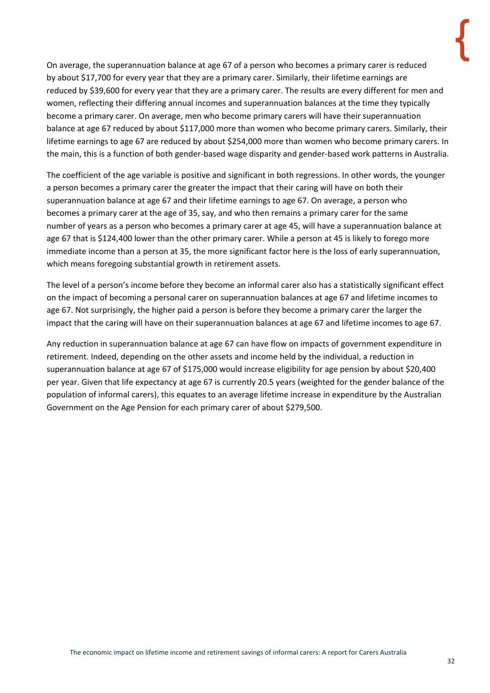On average, the superannuation balance at age 67 of a person who becomes a primary carer is reduced by about \$17,700 for every year that they are a primary carer. Similarly, their lifetime earnings are reduced by \$39,600 for every year that they are a primary carer. The results are every different for men and

women, reflecting their differing annual incomes and superannuation balances at the time they typically become a primary carer. On average, men who become primary carers will have their superannuation balance at age 67 reduced by about \$117,000 more than women who become primary carers. Similarly, their lifetime earnings to age 67 are reduced by about \$254,000 more than women who become primary carers. In the main, this is a function of both gender-based wage disparity and gender-based work patterns in Australia.

The coefficient of the age variable is positive and significant in both regressions. In other words, the younger a person becomes a primary carer the greater the impact that their caring will have on both their superannuation balance at age 67 and their lifetime earnings to age 67. On average, a person who becomes a primary carer at the age of 35, say, and who then remains a primary carer for the same number of years as a person who becomes a primary carer at age 45, will have a superannuation balance at age 67 that is \$124,400 lower than the other primary carer. While a person at 45 is likely to forego more immediate income than a person at 35, the more significant factor here is the loss of early superannuation, which means foregoing substantial growth in retirement assets.

The level of a person's income before they become an informal carer also has a statistically significant effect on the impact of becoming a personal carer on superannuation balances at age 67 and lifetime incomes to age 67. Not surprisingly, the higher paid a person is before they become a primary carer the larger the impact that the caring will have on their superannuation balances at age 67 and lifetime incomes to age 67.

Any reduction in superannuation balance at age 67 can have flow on impacts of government expenditure in retirement. Indeed, depending on the other assets and income held by the individual, a reduction in superannuation balance at age 67 of \$175,000 would increase eligibility for age pension by about \$20,400 per year. Given that life expectancy at age 67 is currently 20.5 years (weighted for the gender balance of the population of informal carers), this equates to an average lifetime increase in expenditure by the Australian Government on the Age Pension for each primary carer of about \$279,500.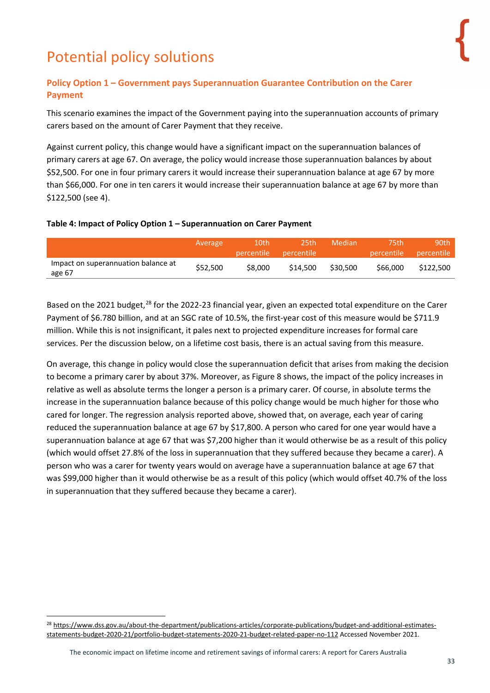# <span id="page-32-0"></span>Potential policy solutions

### <span id="page-32-1"></span>**Policy Option 1 – Government pays Superannuation Guarantee Contribution on the Carer Payment**

This scenario examines the impact of the Government paying into the superannuation accounts of primary carers based on the amount of Carer Payment that they receive.

Against current policy, this change would have a significant impact on the superannuation balances of primary carers at age 67. On average, the policy would increase those superannuation balances by about \$52,500. For one in four primary carers it would increase their superannuation balance at age 67 by more than \$66,000. For one in ten carers it would increase their superannuation balance at age 67 by more than \$122,500 (see 4).

#### **Table 4: Impact of Policy Option 1 – Superannuation on Carer Payment**

|                                               | Average  | 10th<br>percentile | 25th<br><b>percentile</b> | Median   | 75th<br>percentile | 90th<br><b>percentile</b> |
|-----------------------------------------------|----------|--------------------|---------------------------|----------|--------------------|---------------------------|
| Impact on superannuation balance at<br>age 67 | \$52,500 | \$8,000            | \$14.500                  | \$30,500 | \$66,000           | \$122,500                 |

Based on the 2021 budget,<sup>[28](#page-32-2)</sup> for the 2022-23 financial year, given an expected total expenditure on the Carer Payment of \$6.780 billion, and at an SGC rate of 10.5%, the first-year cost of this measure would be \$711.9 million. While this is not insignificant, it pales next to projected expenditure increases for formal care services. Per the discussion below, on a lifetime cost basis, there is an actual saving from this measure.

On average, this change in policy would close the superannuation deficit that arises from making the decision to become a primary carer by about 37%. Moreover, as Figure 8 shows, the impact of the policy increases in relative as well as absolute terms the longer a person is a primary carer. Of course, in absolute terms the increase in the superannuation balance because of this policy change would be much higher for those who cared for longer. The regression analysis reported above, showed that, on average, each year of caring reduced the superannuation balance at age 67 by \$17,800. A person who cared for one year would have a superannuation balance at age 67 that was \$7,200 higher than it would otherwise be as a result of this policy (which would offset 27.8% of the loss in superannuation that they suffered because they became a carer). A person who was a carer for twenty years would on average have a superannuation balance at age 67 that was \$99,000 higher than it would otherwise be as a result of this policy (which would offset 40.7% of the loss in superannuation that they suffered because they became a carer).

<span id="page-32-2"></span><sup>&</sup>lt;sup>28</sup> [https://www.dss.gov.au/about-the-department/publications-articles/corporate-publications/budget-and-additional-estimates](https://www.dss.gov.au/about-the-department/publications-articles/corporate-publications/budget-and-additional-estimates-statements-budget-2020-21/portfolio-budget-statements-2020-21-budget-related-paper-no-112)[statements-budget-2020-21/portfolio-budget-statements-2020-21-budget-related-paper-no-112](https://www.dss.gov.au/about-the-department/publications-articles/corporate-publications/budget-and-additional-estimates-statements-budget-2020-21/portfolio-budget-statements-2020-21-budget-related-paper-no-112) Accessed November 2021.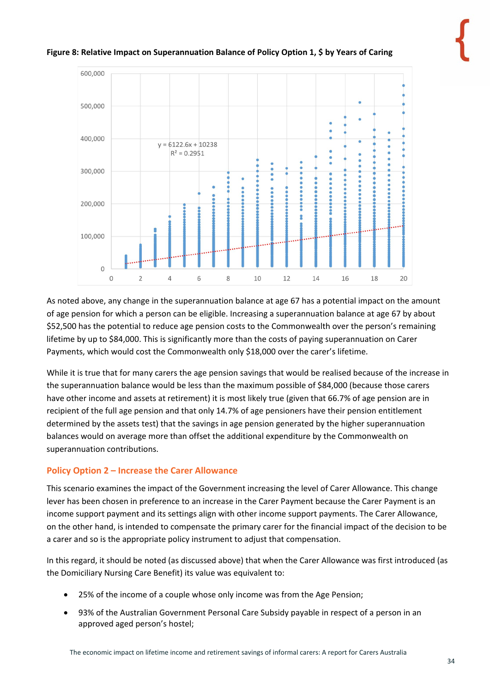#### **Figure 8: Relative Impact on Superannuation Balance of Policy Option 1, \$ by Years of Caring**



As noted above, any change in the superannuation balance at age 67 has a potential impact on the amount of age pension for which a person can be eligible. Increasing a superannuation balance at age 67 by about \$52,500 has the potential to reduce age pension costs to the Commonwealth over the person's remaining lifetime by up to \$84,000. This is significantly more than the costs of paying superannuation on Carer Payments, which would cost the Commonwealth only \$18,000 over the carer's lifetime.

While it is true that for many carers the age pension savings that would be realised because of the increase in the superannuation balance would be less than the maximum possible of \$84,000 (because those carers have other income and assets at retirement) it is most likely true (given that 66.7% of age pension are in recipient of the full age pension and that only 14.7% of age pensioners have their pension entitlement determined by the assets test) that the savings in age pension generated by the higher superannuation balances would on average more than offset the additional expenditure by the Commonwealth on superannuation contributions.

### <span id="page-33-0"></span>**Policy Option 2 – Increase the Carer Allowance**

This scenario examines the impact of the Government increasing the level of Carer Allowance. This change lever has been chosen in preference to an increase in the Carer Payment because the Carer Payment is an income support payment and its settings align with other income support payments. The Carer Allowance, on the other hand, is intended to compensate the primary carer for the financial impact of the decision to be a carer and so is the appropriate policy instrument to adjust that compensation.

In this regard, it should be noted (as discussed above) that when the Carer Allowance was first introduced (as the Domiciliary Nursing Care Benefit) its value was equivalent to:

- 25% of the income of a couple whose only income was from the Age Pension;
- 93% of the Australian Government Personal Care Subsidy payable in respect of a person in an approved aged person's hostel;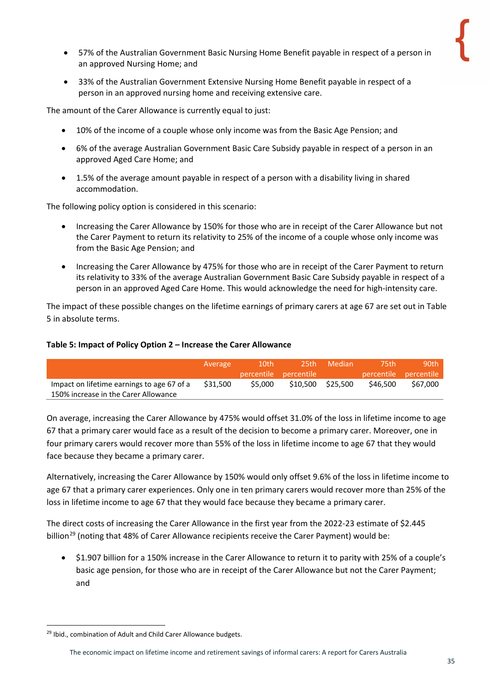- 57% of the Australian Government Basic Nursing Home Benefit payable in respect of a person in an approved Nursing Home; and
- 33% of the Australian Government Extensive Nursing Home Benefit payable in respect of a person in an approved nursing home and receiving extensive care.

The amount of the Carer Allowance is currently equal to just:

- 10% of the income of a couple whose only income was from the Basic Age Pension; and
- 6% of the average Australian Government Basic Care Subsidy payable in respect of a person in an approved Aged Care Home; and
- 1.5% of the average amount payable in respect of a person with a disability living in shared accommodation.

The following policy option is considered in this scenario:

- Increasing the Carer Allowance by 150% for those who are in receipt of the Carer Allowance but not the Carer Payment to return its relativity to 25% of the income of a couple whose only income was from the Basic Age Pension; and
- Increasing the Carer Allowance by 475% for those who are in receipt of the Carer Payment to return its relativity to 33% of the average Australian Government Basic Care Subsidy payable in respect of a person in an approved Aged Care Home. This would acknowledge the need for high-intensity care.

The impact of these possible changes on the lifetime earnings of primary carers at age 67 are set out in Table 5 in absolute terms.

#### **Table 5: Impact of Policy Option 2 – Increase the Carer Allowance**

|                                            | Average  | 10th    | 25th.<br>percentile percentile | Median   | 75th     | 90th<br>percentile percentile |
|--------------------------------------------|----------|---------|--------------------------------|----------|----------|-------------------------------|
| Impact on lifetime earnings to age 67 of a | \$31,500 | \$5,000 | \$10,500                       | \$25.500 | \$46,500 | \$67.000                      |
| 150% increase in the Carer Allowance       |          |         |                                |          |          |                               |

On average, increasing the Carer Allowance by 475% would offset 31.0% of the loss in lifetime income to age 67 that a primary carer would face as a result of the decision to become a primary carer. Moreover, one in four primary carers would recover more than 55% of the loss in lifetime income to age 67 that they would face because they became a primary carer.

Alternatively, increasing the Carer Allowance by 150% would only offset 9.6% of the loss in lifetime income to age 67 that a primary carer experiences. Only one in ten primary carers would recover more than 25% of the loss in lifetime income to age 67 that they would face because they became a primary carer.

The direct costs of increasing the Carer Allowance in the first year from the 2022-23 estimate of \$2.445 billion<sup>[29](#page-34-0)</sup> (noting that 48% of Carer Allowance recipients receive the Carer Payment) would be:

• \$1.907 billion for a 150% increase in the Carer Allowance to return it to parity with 25% of a couple's basic age pension, for those who are in receipt of the Carer Allowance but not the Carer Payment; and

<span id="page-34-0"></span><sup>29</sup> Ibid., combination of Adult and Child Carer Allowance budgets.

The economic impact on lifetime income and retirement savings of informal carers: A report for Carers Australia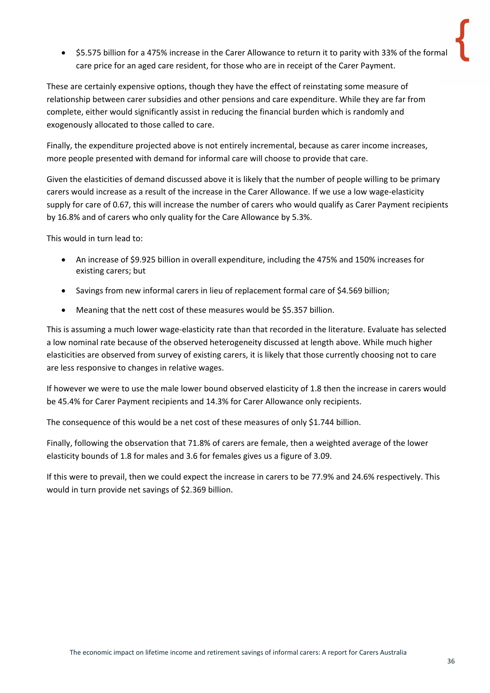• \$5.575 billion for a 475% increase in the Carer Allowance to return it to parity with 33% of the formal care price for an aged care resident, for those who are in receipt of the Carer Payment.

These are certainly expensive options, though they have the effect of reinstating some measure of relationship between carer subsidies and other pensions and care expenditure. While they are far from complete, either would significantly assist in reducing the financial burden which is randomly and exogenously allocated to those called to care.

Finally, the expenditure projected above is not entirely incremental, because as carer income increases, more people presented with demand for informal care will choose to provide that care.

Given the elasticities of demand discussed above it is likely that the number of people willing to be primary carers would increase as a result of the increase in the Carer Allowance. If we use a low wage-elasticity supply for care of 0.67, this will increase the number of carers who would qualify as Carer Payment recipients by 16.8% and of carers who only quality for the Care Allowance by 5.3%.

This would in turn lead to:

- An increase of \$9.925 billion in overall expenditure, including the 475% and 150% increases for existing carers; but
- Savings from new informal carers in lieu of replacement formal care of \$4.569 billion;
- Meaning that the nett cost of these measures would be \$5.357 billion.

This is assuming a much lower wage-elasticity rate than that recorded in the literature. Evaluate has selected a low nominal rate because of the observed heterogeneity discussed at length above. While much higher elasticities are observed from survey of existing carers, it is likely that those currently choosing not to care are less responsive to changes in relative wages.

If however we were to use the male lower bound observed elasticity of 1.8 then the increase in carers would be 45.4% for Carer Payment recipients and 14.3% for Carer Allowance only recipients.

The consequence of this would be a net cost of these measures of only \$1.744 billion.

Finally, following the observation that 71.8% of carers are female, then a weighted average of the lower elasticity bounds of 1.8 for males and 3.6 for females gives us a figure of 3.09.

If this were to prevail, then we could expect the increase in carers to be 77.9% and 24.6% respectively. This would in turn provide net savings of \$2.369 billion.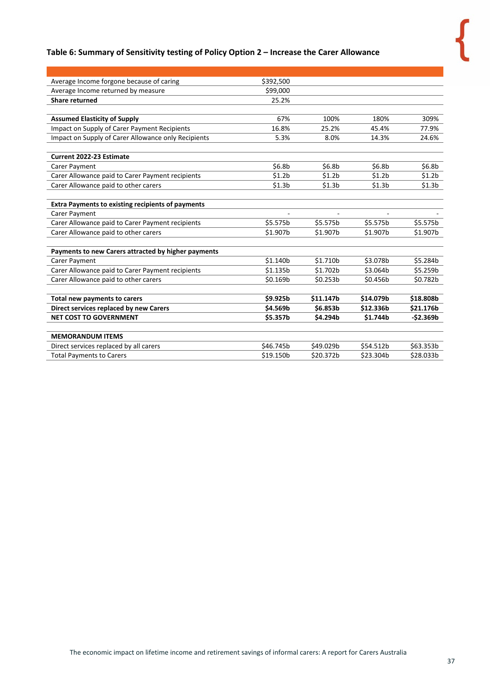### **Table 6: Summary of Sensitivity testing of Policy Option 2 – Increase the Carer Allowance**

| Average Income forgone because of caring                 | \$392,500          |                    |                    |                    |
|----------------------------------------------------------|--------------------|--------------------|--------------------|--------------------|
| Average Income returned by measure                       | \$99,000           |                    |                    |                    |
| <b>Share returned</b>                                    | 25.2%              |                    |                    |                    |
|                                                          |                    |                    |                    |                    |
| <b>Assumed Elasticity of Supply</b>                      | 67%                | 100%               | 180%               | 309%               |
| Impact on Supply of Carer Payment Recipients             | 16.8%              | 25.2%              | 45.4%              | 77.9%              |
| Impact on Supply of Carer Allowance only Recipients      | 5.3%               | 8.0%               | 14.3%              | 24.6%              |
|                                                          |                    |                    |                    |                    |
| <b>Current 2022-23 Estimate</b>                          |                    |                    |                    |                    |
| Carer Payment                                            | \$6.8 <sub>b</sub> | \$6.8 <sub>b</sub> | \$6.8 <sub>b</sub> | \$6.8b             |
| Carer Allowance paid to Carer Payment recipients         | \$1.2 <sub>b</sub> | \$1.2 <sub>b</sub> | \$1.2 <sub>b</sub> | \$1.2 <sub>b</sub> |
| Carer Allowance paid to other carers                     | \$1.3 <sub>b</sub> | \$1.3 <sub>b</sub> | \$1.3 <sub>b</sub> | \$1.3 <sub>b</sub> |
|                                                          |                    |                    |                    |                    |
| <b>Extra Payments to existing recipients of payments</b> |                    |                    |                    |                    |
| Carer Payment                                            |                    |                    |                    |                    |
| Carer Allowance paid to Carer Payment recipients         | \$5.575b           | \$5.575b           | \$5.575b           | \$5.575b           |
| Carer Allowance paid to other carers                     | \$1.907b           | \$1.907b           | \$1.907b           | \$1.907b           |
|                                                          |                    |                    |                    |                    |
| Payments to new Carers attracted by higher payments      |                    |                    |                    |                    |
| Carer Payment                                            | \$1.140b           | \$1.710b           | \$3.078b           | \$5.284b           |
| Carer Allowance paid to Carer Payment recipients         | \$1.135b           | \$1.702b           | \$3.064b           | \$5.259b           |
| Carer Allowance paid to other carers                     | \$0.169b           | \$0.253b           | \$0.456b           | \$0.782b           |
|                                                          |                    |                    |                    |                    |
| Total new payments to carers                             | \$9.925b           | \$11.147b          | \$14.079b          | \$18.808b          |
| Direct services replaced by new Carers                   | \$4.569b           | \$6.853b           | \$12.336b          | \$21.176b          |
| <b>NET COST TO GOVERNMENT</b>                            | \$5.357b           | \$4.294b           | \$1.744b           | $-52.369b$         |
|                                                          |                    |                    |                    |                    |
| <b>MEMORANDUM ITEMS</b>                                  |                    |                    |                    |                    |
| Direct services replaced by all carers                   | \$46.745b          | \$49.029b          | \$54.512b          | \$63.353b          |
| <b>Total Payments to Carers</b>                          | \$19.150b          | \$20.372b          | \$23.304b          | \$28.033b          |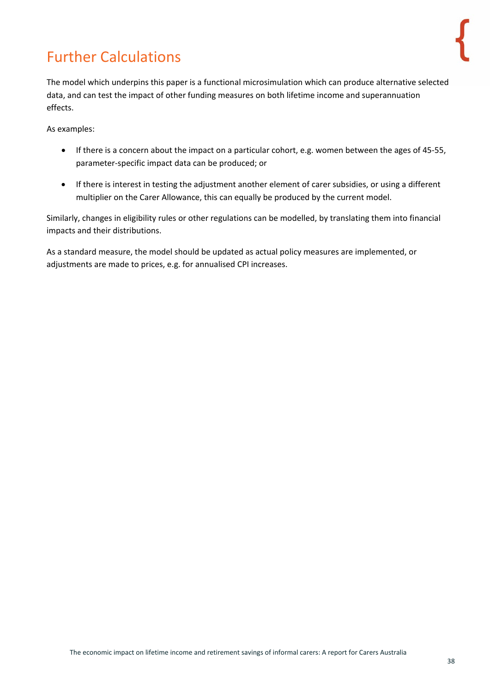# <span id="page-37-0"></span>Further Calculations

The model which underpins this paper is a functional microsimulation which can produce alternative selected data, and can test the impact of other funding measures on both lifetime income and superannuation effects.

As examples:

- If there is a concern about the impact on a particular cohort, e.g. women between the ages of 45-55, parameter-specific impact data can be produced; or
- If there is interest in testing the adjustment another element of carer subsidies, or using a different multiplier on the Carer Allowance, this can equally be produced by the current model.

Similarly, changes in eligibility rules or other regulations can be modelled, by translating them into financial impacts and their distributions.

As a standard measure, the model should be updated as actual policy measures are implemented, or adjustments are made to prices, e.g. for annualised CPI increases.